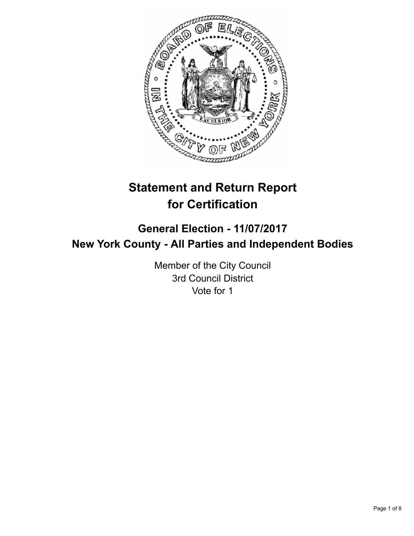

# **Statement and Return Report for Certification**

## **General Election - 11/07/2017 New York County - All Parties and Independent Bodies**

Member of the City Council 3rd Council District Vote for 1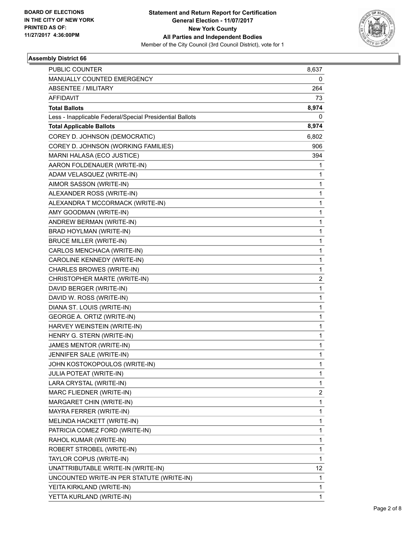

| <b>PUBLIC COUNTER</b>                                    | 8,637 |
|----------------------------------------------------------|-------|
| MANUALLY COUNTED EMERGENCY                               | 0     |
| <b>ABSENTEE / MILITARY</b>                               | 264   |
| AFFIDAVIT                                                | 73    |
| <b>Total Ballots</b>                                     | 8,974 |
| Less - Inapplicable Federal/Special Presidential Ballots | 0     |
| <b>Total Applicable Ballots</b>                          | 8,974 |
| COREY D. JOHNSON (DEMOCRATIC)                            | 6,802 |
| COREY D. JOHNSON (WORKING FAMILIES)                      | 906   |
| MARNI HALASA (ECO JUSTICE)                               | 394   |
| AARON FOLDENAUER (WRITE-IN)                              | 1     |
| ADAM VELASQUEZ (WRITE-IN)                                | 1     |
| AIMOR SASSON (WRITE-IN)                                  | 1     |
| ALEXANDER ROSS (WRITE-IN)                                | 1     |
| ALEXANDRA T MCCORMACK (WRITE-IN)                         | 1     |
| AMY GOODMAN (WRITE-IN)                                   | 1     |
| ANDREW BERMAN (WRITE-IN)                                 | 1     |
| BRAD HOYLMAN (WRITE-IN)                                  | 1     |
| <b>BRUCE MILLER (WRITE-IN)</b>                           | 1     |
| CARLOS MENCHACA (WRITE-IN)                               | 1     |
| CAROLINE KENNEDY (WRITE-IN)                              | 1     |
| CHARLES BROWES (WRITE-IN)                                | 1     |
| CHRISTOPHER MARTE (WRITE-IN)                             | 2     |
| DAVID BERGER (WRITE-IN)                                  | 1     |
| DAVID W. ROSS (WRITE-IN)                                 | 1     |
| DIANA ST. LOUIS (WRITE-IN)                               | 1     |
| GEORGE A. ORTIZ (WRITE-IN)                               | 1     |
| HARVEY WEINSTEIN (WRITE-IN)                              | 1     |
| HENRY G. STERN (WRITE-IN)                                | 1     |
| JAMES MENTOR (WRITE-IN)                                  | 1     |
| JENNIFER SALE (WRITE-IN)                                 | 1     |
| JOHN KOSTOKOPOULOS (WRITE-IN)                            | 1     |
| <b>JULIA POTEAT (WRITE-IN)</b>                           | 1     |
| LARA CRYSTAL (WRITE-IN)                                  | 1     |
| MARC FLIEDNER (WRITE-IN)                                 | 2     |
| MARGARET CHIN (WRITE-IN)                                 | 1     |
| MAYRA FERRER (WRITE-IN)                                  | 1     |
| MELINDA HACKETT (WRITE-IN)                               | 1     |
| PATRICIA COMEZ FORD (WRITE-IN)                           | 1     |
| RAHOL KUMAR (WRITE-IN)                                   | 1     |
| ROBERT STROBEL (WRITE-IN)                                | 1     |
| TAYLOR COPUS (WRITE-IN)                                  | 1     |
| UNATTRIBUTABLE WRITE-IN (WRITE-IN)                       | 12    |
| UNCOUNTED WRITE-IN PER STATUTE (WRITE-IN)                | 1     |
| YEITA KIRKLAND (WRITE-IN)                                | 1     |
| YETTA KURLAND (WRITE-IN)                                 | 1     |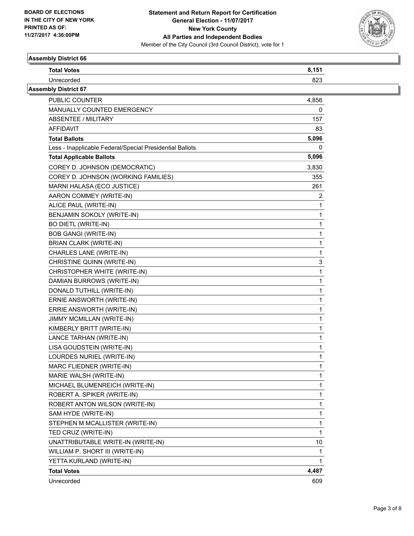

 $\overline{\phantom{0}}$ 

| AJJUHNIY DIJUTUL UU         |       |  |
|-----------------------------|-------|--|
| <b>Total Votes</b>          | 8,151 |  |
| Unrecorded                  | 823   |  |
| <b>Assembly District 67</b> |       |  |
| <b>PUBLIC COUNTER</b>       | 4,856 |  |

| PUBLIC COUNTER                                           | 4,856 |
|----------------------------------------------------------|-------|
| MANUALLY COUNTED EMERGENCY                               | 0     |
| <b>ABSENTEE / MILITARY</b>                               | 157   |
| AFFIDAVIT                                                | 83    |
| <b>Total Ballots</b>                                     | 5,096 |
| Less - Inapplicable Federal/Special Presidential Ballots | 0     |
| <b>Total Applicable Ballots</b>                          | 5,096 |
| COREY D. JOHNSON (DEMOCRATIC)                            | 3,830 |
| COREY D. JOHNSON (WORKING FAMILIES)                      | 355   |
| MARNI HALASA (ECO JUSTICE)                               | 261   |
| AARON COMMEY (WRITE-IN)                                  | 2     |
| ALICE PAUL (WRITE-IN)                                    | 1     |
| BENJAMIN SOKOLY (WRITE-IN)                               | 1     |
| <b>BO DIETL (WRITE-IN)</b>                               | 1     |
| <b>BOB GANGI (WRITE-IN)</b>                              | 1     |
| <b>BRIAN CLARK (WRITE-IN)</b>                            | 1     |
| CHARLES LANE (WRITE-IN)                                  | 1     |
| CHRISTINE QUINN (WRITE-IN)                               | 3     |
| CHRISTOPHER WHITE (WRITE-IN)                             | 1     |
| DAMIAN BURROWS (WRITE-IN)                                | 1     |
| DONALD TUTHILL (WRITE-IN)                                | 1     |
| ERNIE ANSWORTH (WRITE-IN)                                | 1     |
| ERRIE ANSWORTH (WRITE-IN)                                | 1     |
| JIMMY MCMILLAN (WRITE-IN)                                | 1     |
| KIMBERLY BRITT (WRITE-IN)                                | 1     |
| LANCE TARHAN (WRITE-IN)                                  | 1     |
| LISA GOUDSTEIN (WRITE-IN)                                | 1     |
| LOURDES NURIEL (WRITE-IN)                                | 1     |
| MARC FLIEDNER (WRITE-IN)                                 | 1     |
| MARIE WALSH (WRITE-IN)                                   | 1     |
| MICHAEL BLUMENREICH (WRITE-IN)                           | 1     |
| ROBERT A. SPIKER (WRITE-IN)                              | 1     |
| ROBERT ANTON WILSON (WRITE-IN)                           | 1     |
| SAM HYDE (WRITE-IN)                                      | 1     |
| STEPHEN M MCALLISTER (WRITE-IN)                          | 1     |
| TED CRUZ (WRITE-IN)                                      | 1     |
| UNATTRIBUTABLE WRITE-IN (WRITE-IN)                       | 10    |
| WILLIAM P. SHORT III (WRITE-IN)                          | 1     |
| YETTA KURLAND (WRITE-IN)                                 | 1     |
| <b>Total Votes</b>                                       | 4,487 |
| Unrecorded                                               | 609   |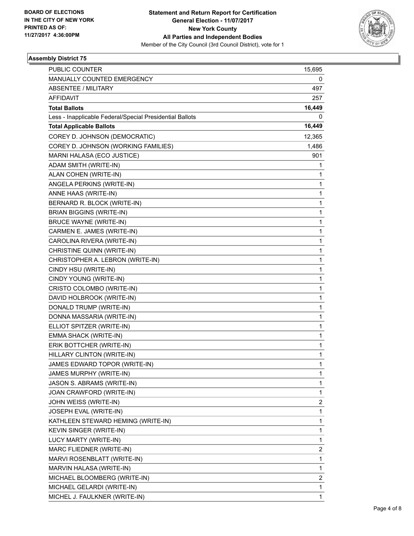

| <b>PUBLIC COUNTER</b>                                    | 15,695 |
|----------------------------------------------------------|--------|
| MANUALLY COUNTED EMERGENCY                               | 0      |
| <b>ABSENTEE / MILITARY</b>                               | 497    |
| <b>AFFIDAVIT</b>                                         | 257    |
| <b>Total Ballots</b>                                     | 16,449 |
| Less - Inapplicable Federal/Special Presidential Ballots | 0      |
| <b>Total Applicable Ballots</b>                          | 16,449 |
| COREY D. JOHNSON (DEMOCRATIC)                            | 12,365 |
| COREY D. JOHNSON (WORKING FAMILIES)                      | 1,486  |
| MARNI HALASA (ECO JUSTICE)                               | 901    |
| ADAM SMITH (WRITE-IN)                                    | 1      |
| ALAN COHEN (WRITE-IN)                                    | 1      |
| ANGELA PERKINS (WRITE-IN)                                | 1      |
| ANNE HAAS (WRITE-IN)                                     | 1      |
| BERNARD R. BLOCK (WRITE-IN)                              | 1      |
| <b>BRIAN BIGGINS (WRITE-IN)</b>                          | 1      |
| <b>BRUCE WAYNE (WRITE-IN)</b>                            | 1      |
| CARMEN E. JAMES (WRITE-IN)                               | 1      |
| CAROLINA RIVERA (WRITE-IN)                               | 1      |
| CHRISTINE QUINN (WRITE-IN)                               | 1      |
| CHRISTOPHER A. LEBRON (WRITE-IN)                         | 1      |
| CINDY HSU (WRITE-IN)                                     | 1      |
| CINDY YOUNG (WRITE-IN)                                   | 1      |
| CRISTO COLOMBO (WRITE-IN)                                | 1      |
| DAVID HOLBROOK (WRITE-IN)                                | 1      |
| DONALD TRUMP (WRITE-IN)                                  | 1      |
| DONNA MASSARIA (WRITE-IN)                                | 1      |
| ELLIOT SPITZER (WRITE-IN)                                | 1      |
| EMMA SHACK (WRITE-IN)                                    | 1      |
| ERIK BOTTCHER (WRITE-IN)                                 | 1      |
| HILLARY CLINTON (WRITE-IN)                               | 1      |
| JAMES EDWARD TOPOR (WRITE-IN)                            | 1      |
| JAMES MURPHY (WRITE-IN)                                  | 1      |
| JASON S. ABRAMS (WRITE-IN)                               | 1      |
| JOAN CRAWFORD (WRITE-IN)                                 | 1      |
| JOHN WEISS (WRITE-IN)                                    | 2      |
| JOSEPH EVAL (WRITE-IN)                                   | 1      |
| KATHLEEN STEWARD HEMING (WRITE-IN)                       | 1      |
| KEVIN SINGER (WRITE-IN)                                  | 1      |
| LUCY MARTY (WRITE-IN)                                    | 1      |
| MARC FLIEDNER (WRITE-IN)                                 | 2      |
| MARVI ROSENBLATT (WRITE-IN)                              | 1      |
| MARVIN HALASA (WRITE-IN)                                 | 1      |
| MICHAEL BLOOMBERG (WRITE-IN)                             | 2      |
| MICHAEL GELARDI (WRITE-IN)                               | 1      |
| MICHEL J. FAULKNER (WRITE-IN)                            | 1      |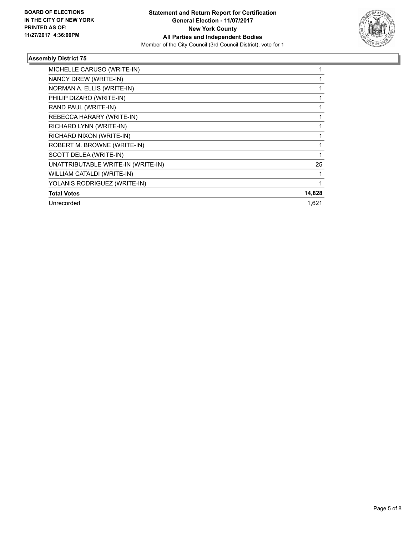

| MICHELLE CARUSO (WRITE-IN)         |        |
|------------------------------------|--------|
| NANCY DREW (WRITE-IN)              |        |
| NORMAN A. ELLIS (WRITE-IN)         |        |
| PHILIP DIZARO (WRITE-IN)           |        |
| RAND PAUL (WRITE-IN)               |        |
| REBECCA HARARY (WRITE-IN)          |        |
| RICHARD LYNN (WRITE-IN)            |        |
| RICHARD NIXON (WRITE-IN)           |        |
| ROBERT M. BROWNE (WRITE-IN)        |        |
| SCOTT DELEA (WRITE-IN)             |        |
| UNATTRIBUTABLE WRITE-IN (WRITE-IN) | 25     |
| WILLIAM CATALDI (WRITE-IN)         |        |
| YOLANIS RODRIGUEZ (WRITE-IN)       |        |
| <b>Total Votes</b>                 | 14,828 |
| Unrecorded                         | 1,621  |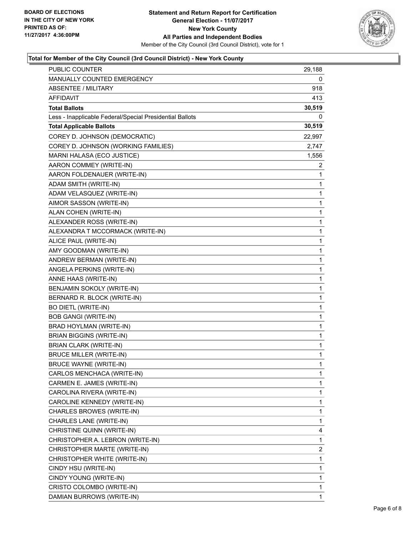

### **Total for Member of the City Council (3rd Council District) - New York County**

| <b>PUBLIC COUNTER</b>                                    | 29,188         |
|----------------------------------------------------------|----------------|
| MANUALLY COUNTED EMERGENCY                               | 0              |
| ABSENTEE / MILITARY                                      | 918            |
| AFFIDAVIT                                                | 413            |
| <b>Total Ballots</b>                                     | 30,519         |
| Less - Inapplicable Federal/Special Presidential Ballots | 0              |
| <b>Total Applicable Ballots</b>                          | 30,519         |
| COREY D. JOHNSON (DEMOCRATIC)                            | 22,997         |
| COREY D. JOHNSON (WORKING FAMILIES)                      | 2,747          |
| MARNI HALASA (ECO JUSTICE)                               | 1,556          |
| AARON COMMEY (WRITE-IN)                                  | 2              |
| AARON FOLDENAUER (WRITE-IN)                              | 1              |
| ADAM SMITH (WRITE-IN)                                    | 1              |
| ADAM VELASQUEZ (WRITE-IN)                                | 1              |
| AIMOR SASSON (WRITE-IN)                                  | 1              |
| ALAN COHEN (WRITE-IN)                                    | $\mathbf{1}$   |
| ALEXANDER ROSS (WRITE-IN)                                | 1              |
| ALEXANDRA T MCCORMACK (WRITE-IN)                         | 1              |
| ALICE PAUL (WRITE-IN)                                    | $\mathbf{1}$   |
| AMY GOODMAN (WRITE-IN)                                   | 1              |
| ANDREW BERMAN (WRITE-IN)                                 | 1              |
| ANGELA PERKINS (WRITE-IN)                                | $\mathbf{1}$   |
| ANNE HAAS (WRITE-IN)                                     | 1              |
| BENJAMIN SOKOLY (WRITE-IN)                               | 1              |
| BERNARD R. BLOCK (WRITE-IN)                              | $\mathbf{1}$   |
| <b>BO DIETL (WRITE-IN)</b>                               | 1              |
| <b>BOB GANGI (WRITE-IN)</b>                              | 1              |
| BRAD HOYLMAN (WRITE-IN)                                  | $\mathbf{1}$   |
| <b>BRIAN BIGGINS (WRITE-IN)</b>                          | 1              |
| <b>BRIAN CLARK (WRITE-IN)</b>                            | 1              |
| <b>BRUCE MILLER (WRITE-IN)</b>                           | 1              |
| <b>BRUCE WAYNE (WRITE-IN)</b>                            | 1              |
| CARLOS MENCHACA (WRITE-IN)                               | 1              |
| CARMEN E. JAMES (WRITE-IN)                               | 1              |
| CAROLINA RIVERA (WRITE-IN)                               | 1              |
| CAROLINE KENNEDY (WRITE-IN)                              | 1              |
| CHARLES BROWES (WRITE-IN)                                | 1              |
| CHARLES LANE (WRITE-IN)                                  | 1              |
| CHRISTINE QUINN (WRITE-IN)                               | 4              |
| CHRISTOPHER A. LEBRON (WRITE-IN)                         | 1              |
| CHRISTOPHER MARTE (WRITE-IN)                             | $\overline{2}$ |
| CHRISTOPHER WHITE (WRITE-IN)                             | 1              |
| CINDY HSU (WRITE-IN)                                     | 1              |
| CINDY YOUNG (WRITE-IN)                                   | 1              |
| CRISTO COLOMBO (WRITE-IN)                                | 1              |
| DAMIAN BURROWS (WRITE-IN)                                | $\mathbf{1}$   |
|                                                          |                |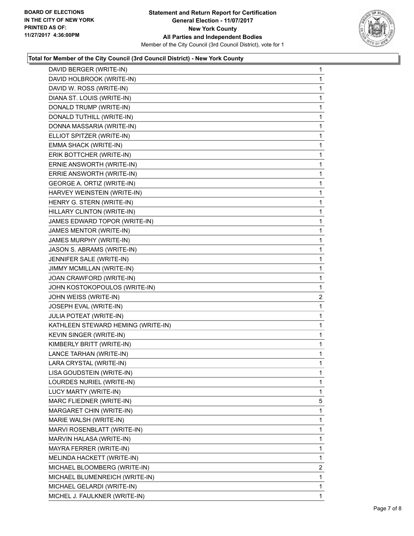

### **Total for Member of the City Council (3rd Council District) - New York County**

| DAVID BERGER (WRITE-IN)            | $\mathbf{1}$ |
|------------------------------------|--------------|
| DAVID HOLBROOK (WRITE-IN)          | $\mathbf 1$  |
| DAVID W. ROSS (WRITE-IN)           | 1            |
| DIANA ST. LOUIS (WRITE-IN)         | 1            |
| DONALD TRUMP (WRITE-IN)            | 1            |
| DONALD TUTHILL (WRITE-IN)          | 1            |
| DONNA MASSARIA (WRITE-IN)          | 1            |
| ELLIOT SPITZER (WRITE-IN)          | 1            |
| EMMA SHACK (WRITE-IN)              | 1            |
| ERIK BOTTCHER (WRITE-IN)           | 1            |
| ERNIE ANSWORTH (WRITE-IN)          | 1            |
| ERRIE ANSWORTH (WRITE-IN)          | 1            |
| GEORGE A. ORTIZ (WRITE-IN)         | 1            |
| HARVEY WEINSTEIN (WRITE-IN)        | 1            |
| HENRY G. STERN (WRITE-IN)          | 1            |
| HILLARY CLINTON (WRITE-IN)         | 1            |
| JAMES EDWARD TOPOR (WRITE-IN)      | 1            |
| JAMES MENTOR (WRITE-IN)            | 1            |
| JAMES MURPHY (WRITE-IN)            | 1            |
| JASON S. ABRAMS (WRITE-IN)         | 1            |
| JENNIFER SALE (WRITE-IN)           | 1            |
| JIMMY MCMILLAN (WRITE-IN)          | 1            |
| JOAN CRAWFORD (WRITE-IN)           | 1            |
| JOHN KOSTOKOPOULOS (WRITE-IN)      | 1            |
| JOHN WEISS (WRITE-IN)              | 2            |
| JOSEPH EVAL (WRITE-IN)             | 1            |
| <b>JULIA POTEAT (WRITE-IN)</b>     | 1            |
| KATHLEEN STEWARD HEMING (WRITE-IN) | 1            |
| KEVIN SINGER (WRITE-IN)            | 1            |
| KIMBERLY BRITT (WRITE-IN)          | 1            |
| LANCE TARHAN (WRITE-IN)            | 1            |
| LARA CRYSTAL (WRITE-IN)            | $\mathbf 1$  |
| LISA GOUDSTEIN (WRITE-IN)          | 1            |
| LOURDES NURIEL (WRITE-IN)          | 1            |
| LUCY MARTY (WRITE-IN)              | $\mathbf 1$  |
| MARC FLIEDNER (WRITE-IN)           | 5            |
| MARGARET CHIN (WRITE-IN)           | 1            |
| MARIE WALSH (WRITE-IN)             | 1            |
| MARVI ROSENBLATT (WRITE-IN)        | 1            |
| MARVIN HALASA (WRITE-IN)           | 1            |
| MAYRA FERRER (WRITE-IN)            | 1            |
| MELINDA HACKETT (WRITE-IN)         | 1            |
| MICHAEL BLOOMBERG (WRITE-IN)       | 2            |
| MICHAEL BLUMENREICH (WRITE-IN)     | 1            |
| MICHAEL GELARDI (WRITE-IN)         | 1            |
| MICHEL J. FAULKNER (WRITE-IN)      | 1            |